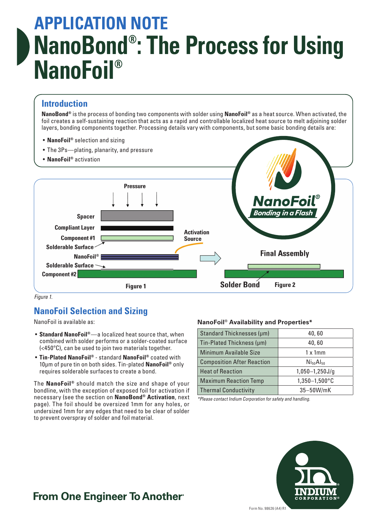# **APPLICATION NOTE NanoBond® : The Process for Using NanoFoil®**

## **Introduction**

**NanoBond®** is the process of bonding two components with solder using **NanoFoil®** as a heat source. When activated, the foil creates a self-sustaining reaction that acts as a rapid and controllable localized heat source to melt adjoining solder layers, bonding components together. Processing details vary with components, but some basic bonding details are:

• **NanoFoil®** selection and sizing



*Figure 1.*

## **NanoFoil Selection and Sizing**

NanoFoil is available as:

- **Standard NanoFoil®**—a localized heat source that, when combined with solder performs or a solder-coated surface (<450ºC), can be used to join two materials together.
- **Tin-Plated NanoFoil®** standard **NanoFoil®** coated with 10μm of pure tin on both sides. Tin-plated **NanoFoil®** only requires solderable surfaces to create a bond.

The **NanoFoil®** should match the size and shape of your bondline, with the exception of exposed foil for activation if necessary (see the section on **NanoBond® Activation**, next page). The foil should be oversized 1mm for any holes, or undersized 1mm for any edges that need to be clear of solder to prevent overspray of solder and foil material.

#### **NanoFoil® Availability and Properties\***

| Standard Thicknesses (µm)                     | 40,60            |  |
|-----------------------------------------------|------------------|--|
| Tin-Plated Thickness (µm)                     | 40,60            |  |
| Minimum Available Size                        | $1 \times 1$ mm  |  |
| <b>Composition After Reaction</b>             | $N_{50}Al_{50}$  |  |
| <b>Heat of Reaction</b>                       | $1,050-1,250J/g$ |  |
| 1,350-1,500°C<br><b>Maximum Reaction Temp</b> |                  |  |
| <b>Thermal Conductivity</b>                   | 35-50W/mK        |  |

*\*Please contact Indium Corporation for safety and handling.*



## **From One Engineer To Another**®

Form No. 98626 (A4) R1